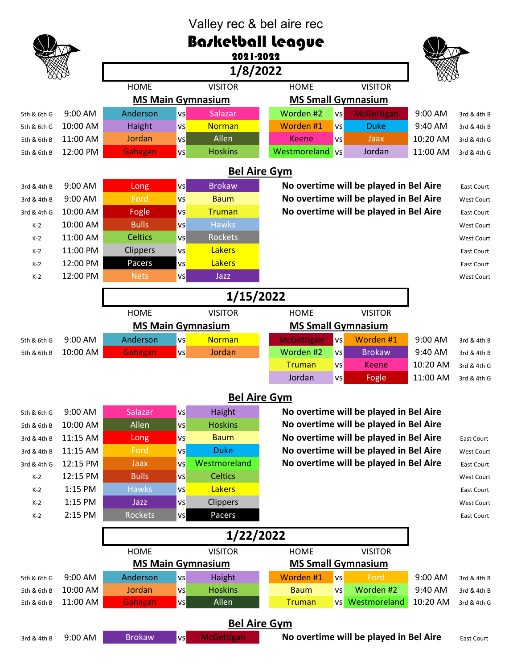| Valley rec & bel aire rec                                                                                            |                          |                                                       |                                                       |                   |                                        |          |                   |
|----------------------------------------------------------------------------------------------------------------------|--------------------------|-------------------------------------------------------|-------------------------------------------------------|-------------------|----------------------------------------|----------|-------------------|
| Basketball league                                                                                                    |                          |                                                       |                                                       |                   |                                        |          |                   |
|                                                                                                                      |                          | 2021-2022                                             |                                                       |                   |                                        |          |                   |
|                                                                                                                      |                          | 1/8/2022                                              |                                                       |                   |                                        |          |                   |
|                                                                                                                      |                          | <b>HOME</b>                                           | <b>VISITOR</b>                                        | <b>HOME</b>       | <b>VISITOR</b>                         |          |                   |
|                                                                                                                      |                          | <b>MS Main Gymnasium</b><br><b>MS Small Gymnasium</b> |                                                       |                   |                                        |          |                   |
| 5th & 6th G                                                                                                          | 9:00 AM                  | Anderson<br>vs                                        | Salazar                                               | Worden #2         | <b>McGettigan</b><br>vs                | 9:00 AM  | 3rd & 4th B       |
| 5th & 6th G                                                                                                          | 10:00 AM                 | Haight<br>VS                                          | <b>Norman</b>                                         | Worden #1         | <b>Duke</b><br>VS                      | 9:40 AM  | 3rd & 4th B       |
| 5th & 6th B                                                                                                          | 11:00 AM                 | Jordan<br>VS                                          | Allen                                                 | <b>Keene</b>      | Jaax<br><b>VS</b>                      | 10:20 AM | 3rd & 4th G       |
| 5th & 6th B                                                                                                          | 12:00 PM                 | Gahagan<br>VS                                         | <b>Hoskins</b>                                        | Westmoreland vs   | Jordan                                 | 11:00 AM | 3rd & 4th G       |
| <b>Bel Aire Gym</b>                                                                                                  |                          |                                                       |                                                       |                   |                                        |          |                   |
| No overtime will be played in Bel Aire<br><b>Brokaw</b><br>9:00 AM<br>vs<br>Long<br>3rd & 4th B<br><b>East Court</b> |                          |                                                       |                                                       |                   |                                        |          |                   |
| 3rd & 4th B                                                                                                          | 9:00 AM                  | Ford<br><b>VS</b>                                     | <b>Baum</b>                                           |                   | No overtime will be played in Bel Aire |          | West Court        |
| 3rd & 4th G                                                                                                          | 10:00 AM                 | Fogle<br>VS                                           | <b>Truman</b>                                         |                   | No overtime will be played in Bel Aire |          | <b>East Court</b> |
| $K-2$                                                                                                                | 10:00 AM                 | <b>Bulls</b><br><b>VS</b>                             | <b>Hawks</b>                                          |                   |                                        |          | West Court        |
| $K-2$                                                                                                                | 11:00 AM                 | <b>Celtics</b><br>VS                                  | <b>Rockets</b>                                        |                   |                                        |          | West Court        |
| $K-2$                                                                                                                | 11:00 PM                 | Clippers<br>VS                                        | <b>Lakers</b>                                         |                   |                                        |          | East Court        |
| $K-2$                                                                                                                | 12:00 PM                 | Pacers<br>VS                                          | <b>Lakers</b>                                         |                   |                                        |          | East Court        |
| $K-2$                                                                                                                | 12:00 PM                 | <b>Nets</b><br>vs                                     | Jazz                                                  |                   |                                        |          | West Court        |
|                                                                                                                      |                          |                                                       |                                                       |                   |                                        |          |                   |
| 1/15/2022                                                                                                            |                          |                                                       |                                                       |                   |                                        |          |                   |
|                                                                                                                      |                          | <b>HOME</b>                                           | <b>VISITOR</b>                                        | <b>HOME</b>       | <b>VISITOR</b>                         |          |                   |
|                                                                                                                      |                          |                                                       | <b>MS Small Gymnasium</b><br><b>MS Main Gymnasium</b> |                   |                                        |          |                   |
| 5th & 6th G                                                                                                          | 9:00 AM                  | Anderson<br>VS                                        | <b>Norman</b>                                         | <b>McGettigan</b> | Worden #1<br>VS                        | 9:00 AM  | 3rd & 4th B       |
| 5th & 6th B                                                                                                          | 10:00 AM                 | Gahagan<br><b>VS</b>                                  | Jordan                                                | Worden #2         | <b>Brokaw</b><br>vs                    | 9:40 AM  | 3rd & 4th B       |
|                                                                                                                      |                          |                                                       |                                                       | <b>Truman</b>     | <b>Keene</b><br><b>VS</b>              | 10:20 AM | 3rd & 4th G       |
|                                                                                                                      |                          |                                                       |                                                       | Jordan            | vs<br>Fogle                            | 11:00 AM | 3rd & 4th G       |
| <b>Bel Aire Gym</b>                                                                                                  |                          |                                                       |                                                       |                   |                                        |          |                   |
| 5th & 6th G                                                                                                          | 9:00 AM                  | Salazar<br><b>vs</b>                                  | Haight                                                |                   | No overtime will be played in Bel Aire |          |                   |
| 5th & 6th B                                                                                                          | 10:00 AM                 | Allen<br>VS                                           | <b>Hoskins</b>                                        |                   | No overtime will be played in Bel Aire |          |                   |
| 3rd & 4th B                                                                                                          | 11:15 AM                 | Long<br>VS                                            | <b>Baum</b>                                           |                   | No overtime will be played in Bel Aire |          | East Court        |
| 3rd & 4th B                                                                                                          | 11:15 AM                 | Ford<br><b>VS</b>                                     | <b>Duke</b>                                           |                   | No overtime will be played in Bel Aire |          | West Court        |
| 3rd & 4th G                                                                                                          | 12:15 PM                 | Jaax<br>VS                                            | Westmoreland                                          |                   | No overtime will be played in Bel Aire |          | East Court        |
| $K-2$                                                                                                                | 12:15 PM                 | <b>Bulls</b><br>VS                                    | <b>Celtics</b>                                        |                   |                                        |          | <b>West Court</b> |
| $K-2$                                                                                                                | 1:15 PM                  | <b>Hawks</b><br>vs                                    | <b>Lakers</b>                                         |                   |                                        |          | East Court        |
| $K-2$                                                                                                                | 1:15 PM                  | Jazz<br>VS                                            | Clippers                                              |                   |                                        |          | West Court        |
| $K-2$                                                                                                                | 2:15 PM                  | Rockets<br><b>VS</b>                                  | Pacers                                                |                   |                                        |          | East Court        |
| 1/22/2022                                                                                                            |                          |                                                       |                                                       |                   |                                        |          |                   |
| <b>HOME</b><br><b>VISITOR</b><br><b>HOME</b><br><b>VISITOR</b>                                                       |                          |                                                       |                                                       |                   |                                        |          |                   |
|                                                                                                                      | <b>MS Main Gymnasium</b> |                                                       | <b>MS Small Gymnasium</b>                             |                   |                                        |          |                   |
| 5th & 6th G                                                                                                          | 9:00 AM                  | Anderson<br><b>VS</b>                                 | Haight                                                | Worden #1         | Ford<br>vs                             | 9:00 AM  | 3rd & 4th B       |
| 5th & 6th B                                                                                                          | 10:00 AM                 | Jordan<br>VS                                          | <b>Hoskins</b>                                        | <b>Baum</b>       | Worden #2<br><b>VS</b>                 | 9:40 AM  | 3rd & 4th B       |
| 5th & 6th B                                                                                                          | 11:00 AM                 | Gahagan<br><b>vs</b>                                  | Allen                                                 | <b>Truman</b>     | Westmoreland<br><b>VS</b>              | 10:20 AM | 3rd & 4th G       |
| <b>Bel Aire Gym</b>                                                                                                  |                          |                                                       |                                                       |                   |                                        |          |                   |
| 3rd & 4th B                                                                                                          | 9:00 AM                  | <b>Brokaw</b><br>vs                                   | <b>McGettigan</b>                                     |                   | No overtime will be played in Bel Aire |          | East Court        |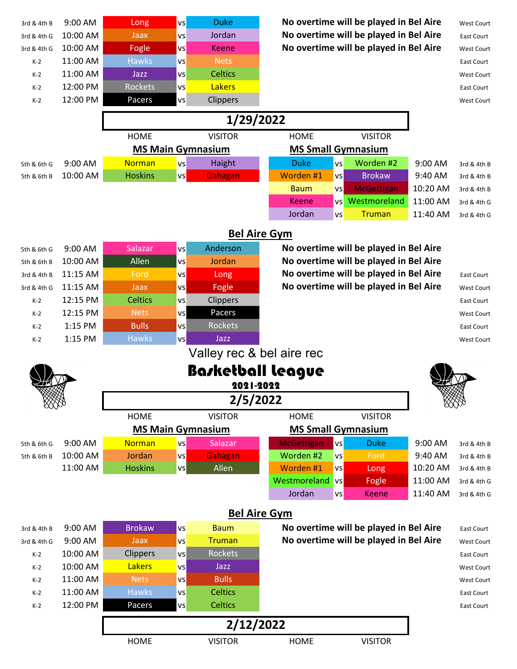